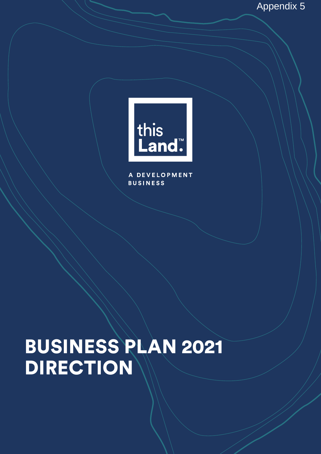

**DEVELOPMENT BUSINESS** 

# BUSINESS PLAN 2021 DIRECTION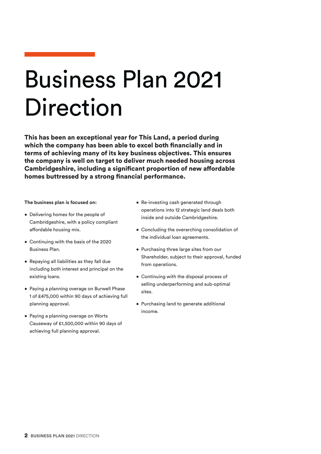# Business Plan 2021 Direction

This has been an exceptional year for This Land, a period during which the company has been able to excel both financially and in terms of achieving many of its key business objectives. This ensures the company is well on target to deliver much needed housing across Cambridgeshire, including a significant proportion of new affordable homes buttressed by a strong financial performance.

**The business plan is focused on:**

- Delivering homes for the people of Cambridgeshire, with a policy compliant affordable housing mix.
- Continuing with the basis of the 2020 Business Plan.
- Repaying all liabilities as they fall due including both interest and principal on the existing loans.
- Paying a planning overage on Burwell Phase 1 of £475,000 within 90 days of achieving full planning approval.
- Paying a planning overage on Worts Causeway of £1,500,000 within 90 days of achieving full planning approval.
- Re-investing cash generated through operations into 12 strategic land deals both inside and outside Cambridgeshire.
- Concluding the overarching consolidation of the individual loan agreements.
- Purchasing three large sites from our Shareholder, subject to their approval, funded from operations.
- Continuing with the disposal process of selling underperforming and sub-optimal sites.
- Purchasing land to generate additional income.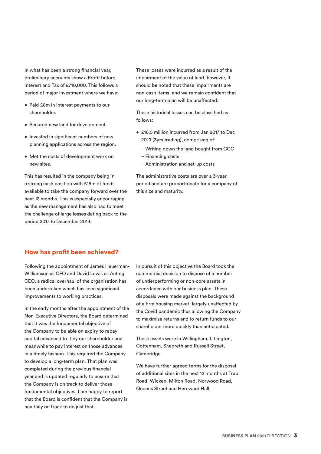In what has been a strong financial year, preliminary accounts show a Profit before Interest and Tax of £710,000. This follows a period of major investment where we have:

- Paid £8m in interest payments to our shareholder.
- Secured new land for development.
- Invested in significant numbers of new planning applications across the region.
- Met the costs of development work on new sites.

This has resulted in the company being in a strong cash position with £18m of funds available to take the company forward over the next 12 months. This is especially encouraging as the new management has also had to meet the challenge of large losses dating back to the period 2017 to December 2019.

These losses were incurred as a result of the impairment of the value of land, however, it should be noted that these impairments are non-cash items, and we remain confident that our long-term plan will be unaffected.

These historical losses can be classified as follows:

- £16.5 million incurred from Jan 2017 to Dec 2019 (3yrs trading), comprising of:
	- Writing down the land bought from CCC – Financing costs
	- Administration and set-up costs

The administrative costs are over a 3-year period and are proportionate for a company of this size and maturity.

## How has profit been achieved?

Following the appointment of James Heuerman-Williamson as CFO and David Lewis as Acting CEO, a radical overhaul of the organisation has been undertaken which has seen significant improvements to working practices.

In the early months after the appointment of the Non-Executive Directors, the Board determined that it was the fundamental objective of the Company to be able on expiry to repay capital advanced to it by our shareholder and meanwhile to pay interest on those advances in a timely fashion. This required the Company to develop a long-term plan. That plan was completed during the previous financial year and is updated regularly to ensure that the Company is on track to deliver those fundamental objectives. I am happy to report that the Board is confident that the Company is healthily on track to do just that.

In pursuit of this objective the Board took the commercial decision to dispose of a number of underperforming or non-core assets in accordance with our business plan. These disposals were made against the background of a firm housing market, largely unaffected by the Covid pandemic thus allowing the Company to maximise returns and to return funds to our shareholder more quickly than anticipated.

These assets were in Willingham, Litlington, Cottenham, Shepreth and Russell Street, Cambridge.

We have further agreed terms for the disposal of additional sites in the next 12 months at Trap Road, Wicken, Milton Road, Norwood Road, Queens Street and Hereward Hall.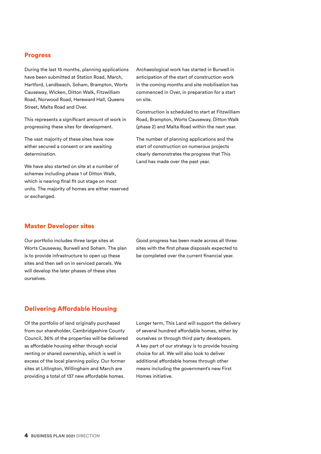#### Progress

During the last 15 months, planning applications have been submitted at Station Road, March, Hartford, Landbeach, Soham, Brampton, Worts Causeway, Wicken, Ditton Walk, Fitzwilliam Road, Norwood Road, Hereward Hall, Queens Street, Malta Road and Over.

This represents a significant amount of work in progressing these sites for development.

The vast majority of these sites have now either secured a consent or are awaiting determination.

We have also started on site at a number of schemes including phase 1 of Ditton Walk, which is nearing final fit out stage on most units. The majority of homes are either reserved or exchanged.

Archaeological work has started in Burwell in anticipation of the start of construction work in the coming months and site mobilisation has commenced in Over, in preparation for a start on site.

Construction is scheduled to start at Fitzwilliam Road, Brampton, Worts Causeway, Ditton Walk (phase 2) and Malta Road within the next year.

The number of planning applications and the start of construction on numerous projects clearly demonstrates the progress that This Land has made over the past year.

#### Master Developer sites

Our portfolio includes three large sites at Worts Causeway, Burwell and Soham. The plan is to provide infrastructure to open up these sites and then sell on in serviced parcels. We will develop the later phases of these sites ourselves.

Good progress has been made across all three sites with the first phase disposals expected to be completed over the current financial year.

#### Delivering Affordable Housing

Of the portfolio of land originally purchased from our shareholder, Cambridgeshire County Council, 36% of the properties will be delivered as affordable housing either through social renting or shared ownership, which is well in excess of the local planning policy. Our former sites at Litlington, Willingham and March are providing a total of 137 new affordable homes.

Longer term, This Land will support the delivery of several hundred affordable homes, either by ourselves or through third party developers. A key part of our strategy is to provide housing choice for all. We will also look to deliver additional affordable homes through other means including the government's new First Homes initiative.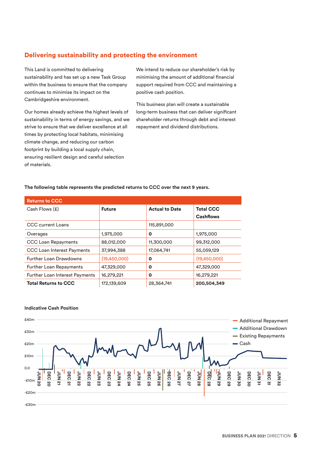# Delivering sustainability and protecting the environment

This Land is committed to delivering sustainability and has set up a new Task Group within the business to ensure that the company continues to minimise its impact on the Cambridgeshire environment.

Our homes already achieve the highest levels of sustainability in terms of energy savings, and we strive to ensure that we deliver excellence at all times by protecting local habitats, minimising climate change, and reducing our carbon footprint by building a local supply chain, ensuring resilient design and careful selection of materials.

We intend to reduce our shareholder's risk by minimising the amount of additional financial support required from CCC and maintaining a positive cash position.

This business plan will create a sustainable long-term business that can deliver significant shareholder returns through debt and interest repayment and dividend distributions.

#### **The following table represents the predicted returns to CCC over the next 9 years.**

| <b>Returns to CCC</b>                 |                |                       |                  |
|---------------------------------------|----------------|-----------------------|------------------|
| Cash Flows (£)                        | <b>Future</b>  | <b>Actual to Date</b> | <b>Total CCC</b> |
|                                       |                |                       | <b>Cashflows</b> |
| <b>CCC</b> current Loans              |                | 115,891,000           |                  |
| Overages                              | 1,975,000      | O                     | 1,975,000        |
| <b>CCC Loan Repayments</b>            | 88,012,000     | 11,300,000            | 99,312,000       |
| <b>CCC Loan Interest Payments</b>     | 37,994,388     | 17,064,741            | 55,059,129       |
| <b>Further Loan Drawdowns</b>         | ${19,450,000}$ | $\mathbf o$           | ${19,450,000}$   |
| Further Loan Repayments               | 47,329,000     | O                     | 47,329,000       |
| <b>Further Loan Interest Payments</b> | 16,279,221     | O                     | 16,279,221       |
| <b>Total Returns to CCC</b>           | 172,139,609    | 28,364,741            | 200,504,349      |



## **Indicative Cash Position**